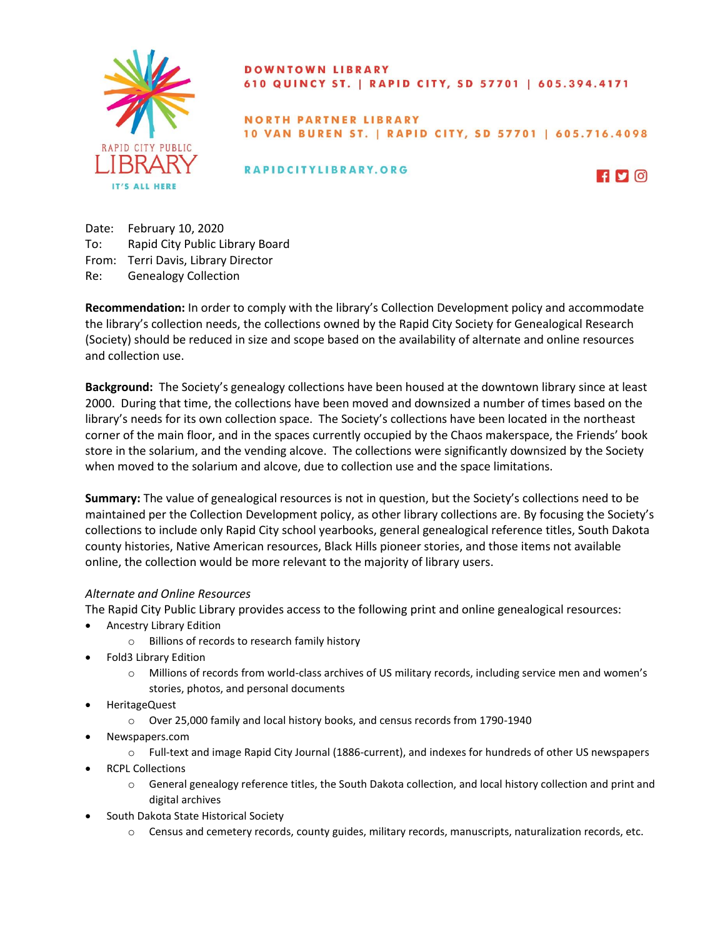

## **DOWNTOWN LIBRARY** 610 QUINCY ST. | RAPID CITY, SD 57701 | 605.394.4171

## **NORTH PARTNER LIBRARY** 10 VAN BUREN ST. | RAPID CITY, SD 57701 | 605.716.4098

RAPIDCITYLIBRARY.ORG



Date: February 10, 2020 To: Rapid City Public Library Board From: Terri Davis, Library Director Re: Genealogy Collection

**Recommendation:** In order to comply with the library's Collection Development policy and accommodate the library's collection needs, the collections owned by the Rapid City Society for Genealogical Research (Society) should be reduced in size and scope based on the availability of alternate and online resources and collection use.

**Background:** The Society's genealogy collections have been housed at the downtown library since at least 2000. During that time, the collections have been moved and downsized a number of times based on the library's needs for its own collection space. The Society's collections have been located in the northeast corner of the main floor, and in the spaces currently occupied by the Chaos makerspace, the Friends' book store in the solarium, and the vending alcove. The collections were significantly downsized by the Society when moved to the solarium and alcove, due to collection use and the space limitations.

**Summary:** The value of genealogical resources is not in question, but the Society's collections need to be maintained per the Collection Development policy, as other library collections are. By focusing the Society's collections to include only Rapid City school yearbooks, general genealogical reference titles, South Dakota county histories, Native American resources, Black Hills pioneer stories, and those items not available online, the collection would be more relevant to the majority of library users.

# *Alternate and Online Resources*

The Rapid City Public Library provides access to the following print and online genealogical resources:

- Ancestry Library Edition
	- o Billions of records to research family history
- Fold3 Library Edition
	- o Millions of records from world-class archives of US military records, including service men and women's stories, photos, and personal documents
- HeritageQuest
	- o Over 25,000 family and local history books, and census records from 1790-1940
	- Newspapers.com
		- o Full-text and image Rapid City Journal (1886-current), and indexes for hundreds of other US newspapers
- RCPL Collections
	- o General genealogy reference titles, the South Dakota collection, and local history collection and print and digital archives
	- South Dakota State Historical Society
		- o Census and cemetery records, county guides, military records, manuscripts, naturalization records, etc.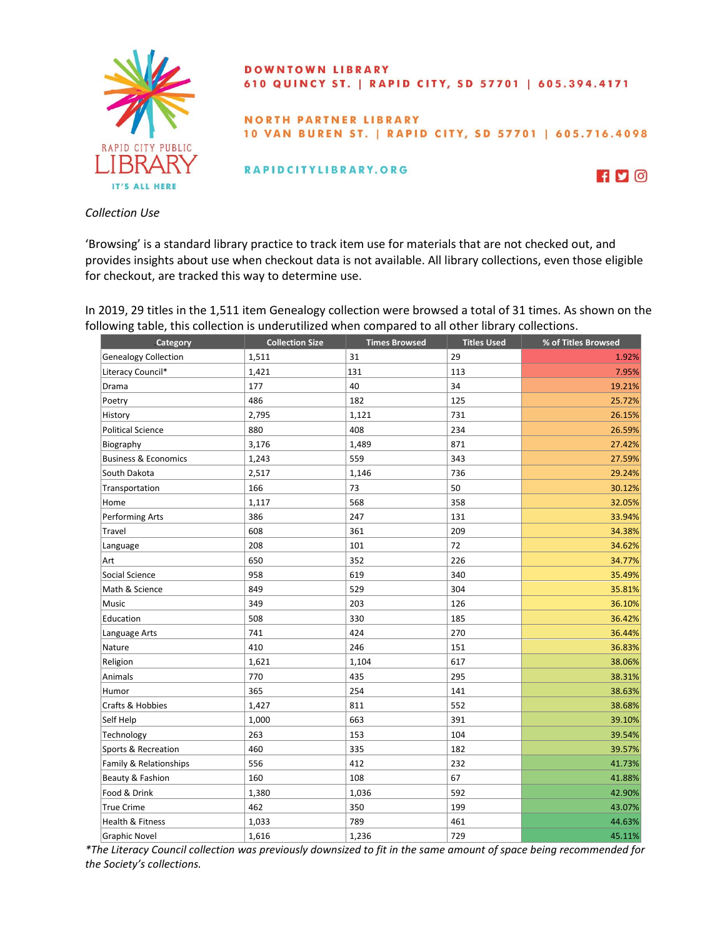

#### **DOWNTOWN LIBRARY** 610 QUINCY ST. | RAPID CITY, SD 57701 | 605.394.4171

#### NORTH PARTNER LIBRARY 10 VAN BUREN ST. | RAPID CITY, SD 57701 | 605.716.4098

RAPIDCITYLIBRARY.ORG



*Collection Use*

'Browsing' is a standard library practice to track item use for materials that are not checked out, and provides insights about use when checkout data is not available. All library collections, even those eligible for checkout, are tracked this way to determine use.

In 2019, 29 titles in the 1,511 item Genealogy collection were browsed a total of 31 times. As shown on the following table, this collection is underutilized when compared to all other library collections.

| Category                        | <b>Collection Size</b> | <b>Times Browsed</b> | <b>Titles Used</b> | % of Titles Browsed |
|---------------------------------|------------------------|----------------------|--------------------|---------------------|
| <b>Genealogy Collection</b>     | 1,511                  | 31                   | 29                 | 1.92%               |
| Literacy Council*               | 1,421                  | 131                  | 113                | 7.95%               |
| Drama                           | 177                    | 40                   | 34                 | 19.21%              |
| Poetry                          | 486                    | 182                  | 125                | 25.72%              |
| History                         | 2,795                  | 1,121                | 731                | 26.15%              |
| <b>Political Science</b>        | 880                    | 408                  | 234                | 26.59%              |
| Biography                       | 3,176                  | 1,489                | 871                | 27.42%              |
| <b>Business &amp; Economics</b> | 1,243                  | 559                  | 343                | 27.59%              |
| South Dakota                    | 2,517                  | 1,146                | 736                | 29.24%              |
| Transportation                  | 166                    | 73                   | 50                 | 30.12%              |
| Home                            | 1,117                  | 568                  | 358                | 32.05%              |
| <b>Performing Arts</b>          | 386                    | 247                  | 131                | 33.94%              |
| Travel                          | 608                    | 361                  | 209                | 34.38%              |
| Language                        | 208                    | 101                  | 72                 | 34.62%              |
| Art                             | 650                    | 352                  | 226                | 34.77%              |
| Social Science                  | 958                    | 619                  | 340                | 35.49%              |
| Math & Science                  | 849                    | 529                  | 304                | 35.81%              |
| Music                           | 349                    | 203                  | 126                | 36.10%              |
| Education                       | 508                    | 330                  | 185                | 36.42%              |
| Language Arts                   | 741                    | 424                  | 270                | 36.44%              |
| Nature                          | 410                    | 246                  | 151                | 36.83%              |
| Religion                        | 1,621                  | 1,104                | 617                | 38.06%              |
| Animals                         | 770                    | 435                  | 295                | 38.31%              |
| Humor                           | 365                    | 254                  | 141                | 38.63%              |
| Crafts & Hobbies                | 1,427                  | 811                  | 552                | 38.68%              |
| Self Help                       | 1,000                  | 663                  | 391                | 39.10%              |
| Technology                      | 263                    | 153                  | 104                | 39.54%              |
| Sports & Recreation             | 460                    | 335                  | 182                | 39.57%              |
| Family & Relationships          | 556                    | 412                  | 232                | 41.73%              |
| Beauty & Fashion                | 160                    | 108                  | 67                 | 41.88%              |
| Food & Drink                    | 1,380                  | 1,036                | 592                | 42.90%              |
| <b>True Crime</b>               | 462                    | 350                  | 199                | 43.07%              |
| <b>Health &amp; Fitness</b>     | 1,033                  | 789                  | 461                | 44.63%              |
| <b>Graphic Novel</b>            | 1,616                  | 1,236                | 729                | 45.11%              |

*\*The Literacy Council collection was previously downsized to fit in the same amount of space being recommended for the Society's collections.*